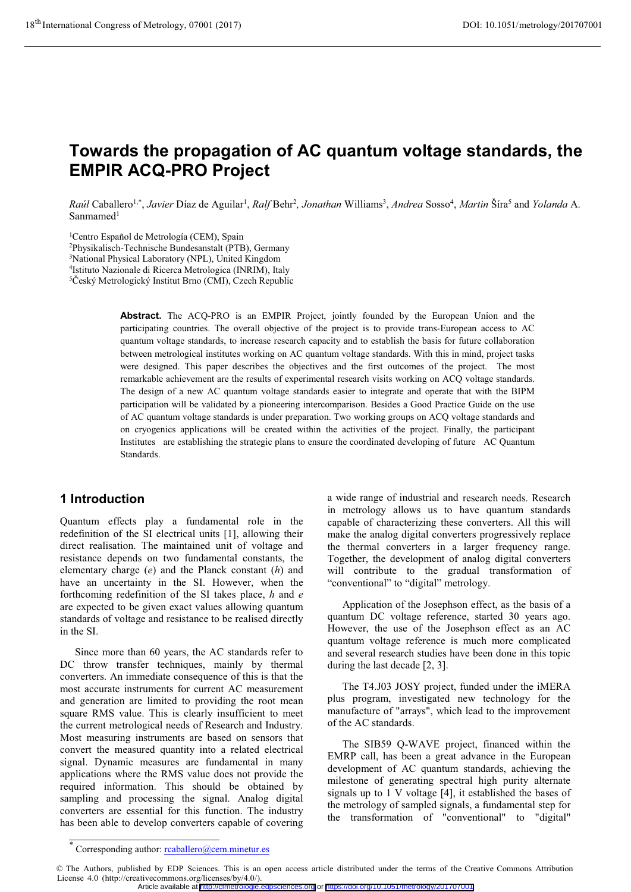# Towards the propagation of AC quantum voltage standards, the EMPIR ACQ-PRO Project

Raúl Caballero<sup>1,\*</sup>, Javier Díaz de Aguilar<sup>1</sup>, Ralf Behr<sup>2</sup>, Jonathan Williams<sup>3</sup>, Andrea Sosso<sup>4</sup>, Martin Šíra<sup>5</sup> and Yolanda A. Sanmamed<sup>1</sup>

<sup>1</sup>Centro Español de Metrología (CEM), Spain

2Physikalisch-Technische Bundesanstalt (PTB), Germany 3National Physical Laboratory (NPL), United Kingdom

4Istituto Nazionale di Ricerca Metrologica (INRIM), Italy

5Český Metrologický Institut Brno (CMI), Czech Republic

Abstract. The ACQ-PRO is an EMPIR Project, jointly founded by the European Union and the participating countries. The overall objective of the project is to provide trans-European access to AC quantum voltage standards, to increase research capacity and to establish the basis for future collaboration between metrological institutes working on AC quantum voltage standards. With this in mind, project tasks were designed. This paper describes the objectives and the first outcomes of the project. The most remarkable achievement are the results of experimental research visits working on ACQ voltage standards. The design of a new AC quantum voltage standards easier to integrate and operate that with the BIPM participation will be validated by a pioneering intercomparison. Besides a Good Practice Guide on the use of AC quantum voltage standards is under preparation. Two working groups on ACQ voltage standards and on cryogenics applications will be created within the activities of the project. Finally, the participant Institutes are establishing the strategic plans to ensure the coordinated developing of future AC Quantum Standards.

# 1 Introduction

Quantum effects play a fundamental role in the redefinition of the SI electrical units [1], allowing their direct realisation. The maintained unit of voltage and resistance depends on two fundamental constants, the elementary charge  $(e)$  and the Planck constant  $(h)$  and have an uncertainty in the SI. However, when the forthcoming redefinition of the SI takes place,  $h$  and  $e$ are expected to be given exact values allowing quantum standards of voltage and resistance to be realised directly in the SI.

Since more than 60 years, the AC standards refer to DC throw transfer techniques, mainly by thermal converters. An immediate consequence of this is that the most accurate instruments for current AC measurement and generation are limited to providing the root mean square RMS value. This is clearly insufficient to meet the current metrological needs of Research and Industry. Most measuring instruments are based on sensors that convert the measured quantity into a related electrical signal. Dynamic measures are fundamental in many applications where the RMS value does not provide the required information. This should be obtained by sampling and processing the signal. Analog digital converters are essential for this function. The industry has been able to develop converters capable of covering

a wide range of industrial and research needs. Research in metrology allows us to have quantum standards capable of characterizing these converters. All this will make the analog digital converters progressively replace the thermal converters in a larger frequency range. Together, the development of analog digital converters will contribute to the gradual transformation of "conventional" to "digital" metrology.

Application of the Josephson effect, as the basis of a quantum DC voltage reference, started 30 years ago. However, the use of the Josephson effect as an AC quantum voltage reference is much more complicated and several research studies have been done in this topic during the last decade [2, 3].

The T4.J03 JOSY project, funded under the iMERA plus program, investigated new technology for the manufacture of "arrays", which lead to the improvement of the AC standards.

The SIB59 Q-WAVE project, financed within the EMRP call, has been a great advance in the European development of AC quantum standards, achieving the milestone of generating spectral high purity alternate signals up to 1 V voltage [4], it established the bases of the metrology of sampled signals, a fundamental step for the transformation of "conventional" to "digital"

<sup>\*</sup> Corresponding author: rcaballero@cem.minetur.es

<sup>©</sup> The Authors, published by EDP Sciences. This is an open access article distributed under the terms of the Creative Commons Attribution License 4.0 (http://creativecommons.org/licenses/by/4.0/).

Article available at <http://cfmetrologie.edpsciences.org> or <https://doi.org/10.1051/metrology/201707001>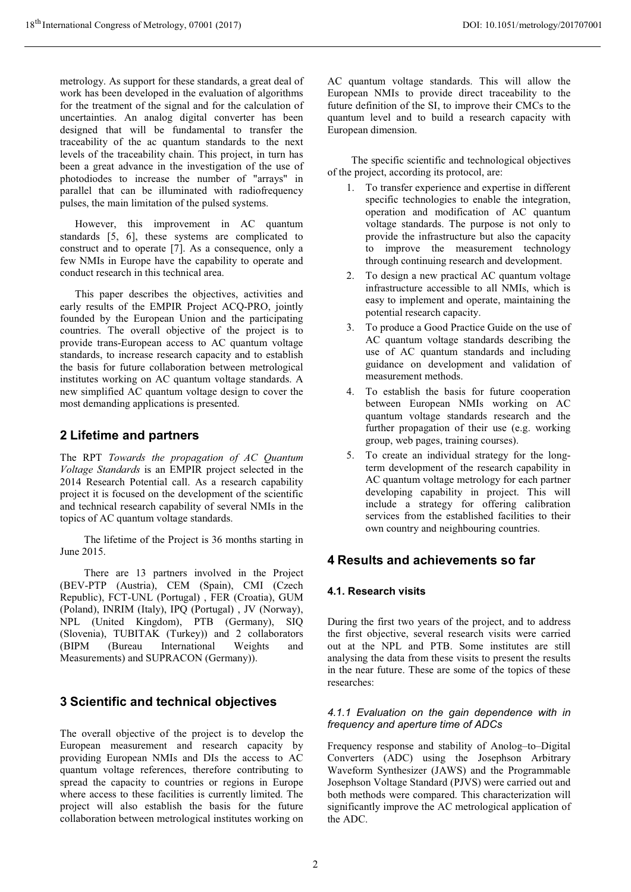metrology. As support for these standards, a great deal of work has been developed in the evaluation of algorithms for the treatment of the signal and for the calculation of uncertainties. An analog digital converter has been designed that will be fundamental to transfer the traceability of the ac quantum standards to the next levels of the traceability chain. This project, in turn has been a great advance in the investigation of the use of photodiodes to increase the number of "arrays" in parallel that can be illuminated with radiofrequency pulses, the main limitation of the pulsed systems.

However, this improvement in AC quantum standards [5, 6], these systems are complicated to construct and to operate [7]. As a consequence, only a few NMIs in Europe have the capability to operate and conduct research in this technical area.

This paper describes the objectives, activities and early results of the EMPIR Project ACQ-PRO, jointly founded by the European Union and the participating countries. The overall objective of the project is to provide trans-European access to AC quantum voltage standards, to increase research capacity and to establish the basis for future collaboration between metrological institutes working on AC quantum voltage standards. A new simplified AC quantum voltage design to cover the most demanding applications is presented.

# 2 Lifetime and partners

The RPT Towards the propagation of AC Quantum Voltage Standards is an EMPIR project selected in the 2014 Research Potential call. As a research capability project it is focused on the development of the scientific and technical research capability of several NMIs in the topics of AC quantum voltage standards.

The lifetime of the Project is 36 months starting in June 2015.

There are 13 partners involved in the Project (BEV-PTP (Austria), CEM (Spain), CMI (Czech Republic), FCT-UNL (Portugal) , FER (Croatia), GUM (Poland), INRIM (Italy), IPQ (Portugal) , JV (Norway), NPL (United Kingdom), PTB (Germany), SIQ (Slovenia), TUBITAK (Turkey)) and 2 collaborators (BIPM (Bureau International Weights and Measurements) and SUPRACON (Germany)).

# 3 Scientific and technical objectives

The overall objective of the project is to develop the European measurement and research capacity by providing European NMIs and DIs the access to AC quantum voltage references, therefore contributing to spread the capacity to countries or regions in Europe where access to these facilities is currently limited. The project will also establish the basis for the future collaboration between metrological institutes working on AC quantum voltage standards. This will allow the European NMIs to provide direct traceability to the future definition of the SI, to improve their CMCs to the quantum level and to build a research capacity with European dimension.

The specific scientific and technological objectives of the project, according its protocol, are:

- 1. To transfer experience and expertise in different specific technologies to enable the integration, operation and modification of AC quantum voltage standards. The purpose is not only to provide the infrastructure but also the capacity to improve the measurement technology through continuing research and development.
- 2. To design a new practical AC quantum voltage infrastructure accessible to all NMIs, which is easy to implement and operate, maintaining the potential research capacity.
- 3. To produce a Good Practice Guide on the use of AC quantum voltage standards describing the use of AC quantum standards and including guidance on development and validation of measurement methods.
- 4. To establish the basis for future cooperation between European NMIs working on AC quantum voltage standards research and the further propagation of their use (e.g. working group, web pages, training courses).
- 5. To create an individual strategy for the longterm development of the research capability in AC quantum voltage metrology for each partner developing capability in project. This will include a strategy for offering calibration services from the established facilities to their own country and neighbouring countries.

# 4 Results and achievements so far

# 4.1. Research visits

During the first two years of the project, and to address the first objective, several research visits were carried out at the NPL and PTB. Some institutes are still analysing the data from these visits to present the results in the near future. These are some of the topics of these researches:

#### 4.1.1 Evaluation on the gain dependence with in frequency and aperture time of ADCs

Frequency response and stability of Anolog–to–Digital Converters (ADC) using the Josephson Arbitrary Waveform Synthesizer (JAWS) and the Programmable Josephson Voltage Standard (PJVS) were carried out and both methods were compared. This characterization will significantly improve the AC metrological application of the ADC.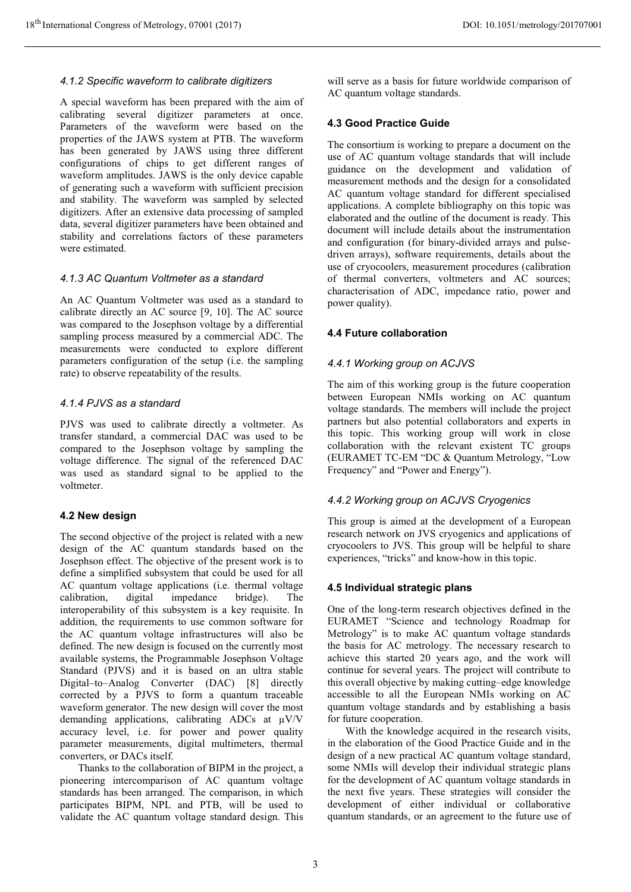#### 4.1.2 Specific waveform to calibrate digitizers

A special waveform has been prepared with the aim of calibrating several digitizer parameters at once. Parameters of the waveform were based on the properties of the JAWS system at PTB. The waveform has been generated by JAWS using three different configurations of chips to get different ranges of waveform amplitudes. JAWS is the only device capable of generating such a waveform with sufficient precision and stability. The waveform was sampled by selected digitizers. After an extensive data processing of sampled data, several digitizer parameters have been obtained and stability and correlations factors of these parameters were estimated.

# 4.1.3 AC Quantum Voltmeter as a standard

An AC Quantum Voltmeter was used as a standard to calibrate directly an AC source [9, 10]. The AC source was compared to the Josephson voltage by a differential sampling process measured by a commercial ADC. The measurements were conducted to explore different parameters configuration of the setup (i.e. the sampling rate) to observe repeatability of the results.

#### 4.1.4 PJVS as a standard

PJVS was used to calibrate directly a voltmeter. As transfer standard, a commercial DAC was used to be compared to the Josephson voltage by sampling the voltage difference. The signal of the referenced DAC was used as standard signal to be applied to the voltmeter.

#### 4.2 New design

The second objective of the project is related with a new design of the AC quantum standards based on the Josephson effect. The objective of the present work is to define a simplified subsystem that could be used for all AC quantum voltage applications (i.e. thermal voltage calibration, digital impedance bridge). The interoperability of this subsystem is a key requisite. In addition, the requirements to use common software for the AC quantum voltage infrastructures will also be defined. The new design is focused on the currently most available systems, the Programmable Josephson Voltage Standard (PJVS) and it is based on an ultra stable Digital–to–Analog Converter (DAC) [8] directly corrected by a PJVS to form a quantum traceable waveform generator. The new design will cover the most demanding applications, calibrating ADCs at μV/V accuracy level, i.e. for power and power quality parameter measurements, digital multimeters, thermal converters, or DACs itself.

 Thanks to the collaboration of BIPM in the project, a pioneering intercomparison of AC quantum voltage standards has been arranged. The comparison, in which participates BIPM, NPL and PTB, will be used to validate the AC quantum voltage standard design. This

will serve as a basis for future worldwide comparison of AC quantum voltage standards.

#### 4.3 Good Practice Guide

The consortium is working to prepare a document on the use of AC quantum voltage standards that will include guidance on the development and validation of measurement methods and the design for a consolidated AC quantum voltage standard for different specialised applications. A complete bibliography on this topic was elaborated and the outline of the document is ready. This document will include details about the instrumentation and configuration (for binary-divided arrays and pulsedriven arrays), software requirements, details about the use of cryocoolers, measurement procedures (calibration of thermal converters, voltmeters and AC sources; characterisation of ADC, impedance ratio, power and power quality).

#### 4.4 Future collaboration

#### 4.4.1 Working group on ACJVS

The aim of this working group is the future cooperation between European NMIs working on AC quantum voltage standards. The members will include the project partners but also potential collaborators and experts in this topic. This working group will work in close collaboration with the relevant existent TC groups (EURAMET TC-EM "DC & Quantum Metrology, "Low Frequency" and "Power and Energy").

#### 4.4.2 Working group on ACJVS Cryogenics

This group is aimed at the development of a European research network on JVS cryogenics and applications of cryocoolers to JVS. This group will be helpful to share experiences, "tricks" and know-how in this topic.

#### 4.5 Individual strategic plans

One of the long-term research objectives defined in the EURAMET "Science and technology Roadmap for Metrology" is to make AC quantum voltage standards the basis for AC metrology. The necessary research to achieve this started 20 years ago, and the work will continue for several years. The project will contribute to this overall objective by making cutting–edge knowledge accessible to all the European NMIs working on AC quantum voltage standards and by establishing a basis for future cooperation.

 With the knowledge acquired in the research visits, in the elaboration of the Good Practice Guide and in the design of a new practical AC quantum voltage standard, some NMIs will develop their individual strategic plans for the development of AC quantum voltage standards in the next five years. These strategies will consider the development of either individual or collaborative quantum standards, or an agreement to the future use of